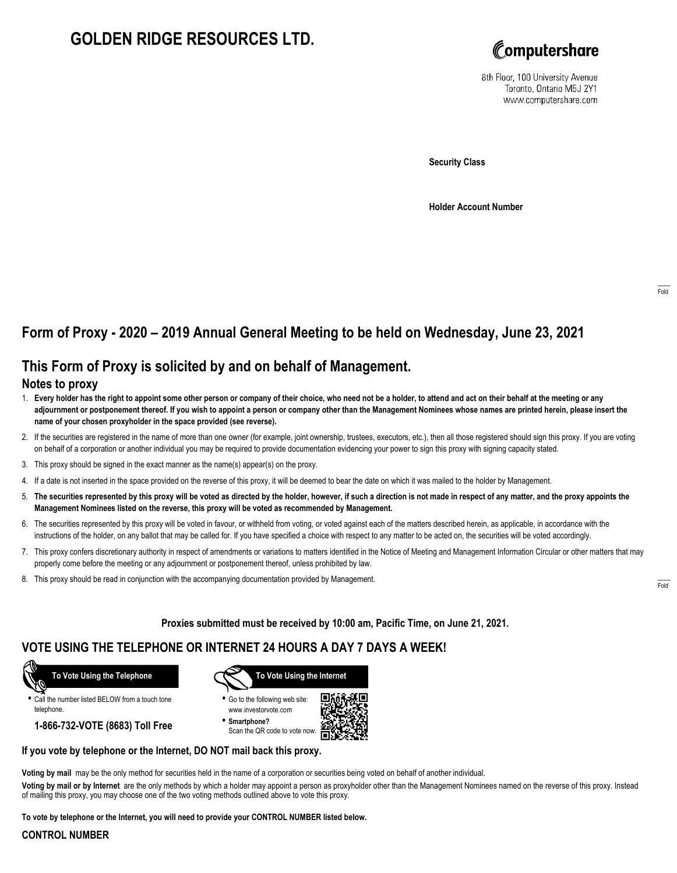# **GOLDEN RIDGE RESOURCES LTD.**



8th Floor, 100 University Avenue Toronto, Ontario M5J 2Y1 www.computershare.com

**Security Class**

**Holder Account Number**

# **Form of Proxy - 2020 – 2019 Annual General Meeting to be held on Wednesday, June 23, 2021**

## **This Form of Proxy is solicited by and on behalf of Management.**

#### **Notes to proxy**

- 1. **Every holder has the right to appoint some other person or company of their choice, who need not be a holder, to attend and act on their behalf at the meeting or any adjournment or postponement thereof. If you wish to appoint a person or company other than the Management Nominees whose names are printed herein, please insert the name of your chosen proxyholder in the space provided (see reverse).**
- 2. If the securities are registered in the name of more than one owner (for example, joint ownership, trustees, executors, etc.), then all those registered should sign this proxy. If you are voting on behalf of a corporation or another individual you may be required to provide documentation evidencing your power to sign this proxy with signing capacity stated.
- 3. This proxy should be signed in the exact manner as the name(s) appear(s) on the proxy.
- 4. If a date is not inserted in the space provided on the reverse of this proxy, it will be deemed to bear the date on which it was mailed to the holder by Management.
- 5. **The securities represented by this proxy will be voted as directed by the holder, however, if such a direction is not made in respect of any matter, and the proxy appoints the Management Nominees listed on the reverse, this proxy will be voted as recommended by Management.**
- 6. The securities represented by this proxy will be voted in favour, or withheld from voting, or voted against each of the matters described herein, as applicable, in accordance with the instructions of the holder, on any ballot that may be called for. If you have specified a choice with respect to any matter to be acted on, the securities will be voted accordingly.
- 7. This proxy confers discretionary authority in respect of amendments or variations to matters identified in the Notice of Meeting and Management Information Circular or other matters that may properly come before the meeting or any adjournment or postponement thereof, unless prohibited by law.
- 8. This proxy should be read in conjunction with the accompanying documentation provided by Management.

**Proxies submitted must be received by 10:00 am, Pacific Time, on June 21, 2021.**

## **VOTE USING THE TELEPHONE OR INTERNET 24 HOURS A DAY 7 DAYS A WEEK!**



**•** Call the number listed BELOW from a touch tone telephone.

**1-866-732-VOTE (8683) Toll Free**



**•** Go to the following web site: www.investorvote.com

**• Smartphone?** Scan the QR code to vote now.



#### **If you vote by telephone or the Internet, DO NOT mail back this proxy.**

**Voting by mail** may be the only method for securities held in the name of a corporation or securities being voted on behalf of another individual.

**Voting by mail or by Internet** are the only methods by which a holder may appoint a person as proxyholder other than the Management Nominees named on the reverse of this proxy. Instead of mailing this proxy, you may choose one of the two voting methods outlined above to vote this proxy.

**To vote by telephone or the Internet, you will need to provide your CONTROL NUMBER listed below.**

#### **CONTROL NUMBER**